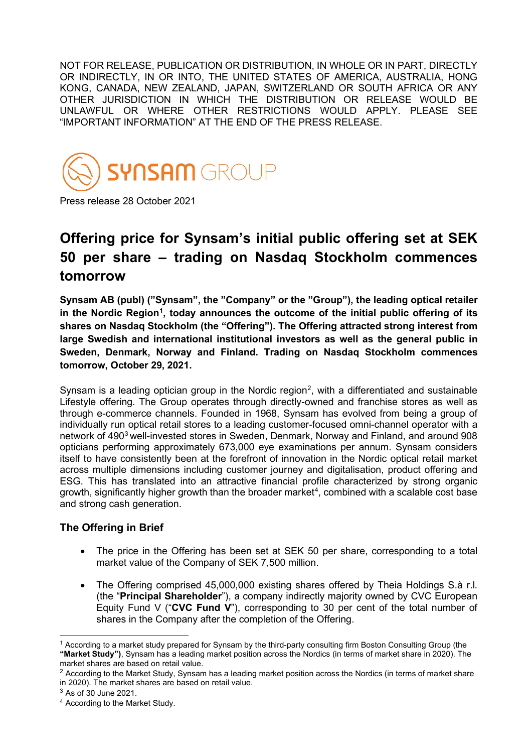NOT FOR RELEASE, PUBLICATION OR DISTRIBUTION, IN WHOLE OR IN PART, DIRECTLY OR INDIRECTLY, IN OR INTO, THE UNITED STATES OF AMERICA, AUSTRALIA, HONG KONG, CANADA, NEW ZEALAND, JAPAN, SWITZERLAND OR SOUTH AFRICA OR ANY OTHER JURISDICTION IN WHICH THE DISTRIBUTION OR RELEASE WOULD BE UNLAWFUL OR WHERE OTHER RESTRICTIONS WOULD APPLY. PLEASE SEE "IMPORTANT INFORMATION" AT THE END OF THE PRESS RELEASE.



Press release 28 October 2021

# **Offering price for Synsam's initial public offering set at SEK 50 per share – trading on Nasdaq Stockholm commences tomorrow**

**Synsam AB (publ) ("Synsam", the "Company" or the "Group"), the leading optical retailer in the Nordic Region[1](#page-0-0) , today announces the outcome of the initial public offering of its shares on Nasdaq Stockholm (the "Offering"). The Offering attracted strong interest from large Swedish and international institutional investors as well as the general public in Sweden, Denmark, Norway and Finland. Trading on Nasdaq Stockholm commences tomorrow, October 29, 2021.**

Synsam is a leading optician group in the Nordic region<sup>[2](#page-0-1)</sup>, with a differentiated and sustainable Lifestyle offering. The Group operates through directly-owned and franchise stores as well as through e-commerce channels. Founded in 1968, Synsam has evolved from being a group of individually run optical retail stores to a leading customer-focused omni-channel operator with a network of 490<sup>[3](#page-0-2)</sup> well-invested stores in Sweden, Denmark, Norway and Finland, and around 908 opticians performing approximately 673,000 eye examinations per annum. Synsam considers itself to have consistently been at the forefront of innovation in the Nordic optical retail market across multiple dimensions including customer journey and digitalisation, product offering and ESG. This has translated into an attractive financial profile characterized by strong organic growth, significantly higher growth than the broader market $\rm ^4$  $\rm ^4$ , combined with a scalable cost base and strong cash generation.

# **The Offering in Brief**

- The price in the Offering has been set at SEK 50 per share, corresponding to a total market value of the Company of SEK 7,500 million.
- The Offering comprised 45,000,000 existing shares offered by Theia Holdings S.à r.l. (the "**Principal Shareholder**"), a company indirectly majority owned by CVC European Equity Fund V ("**CVC Fund V**"), corresponding to 30 per cent of the total number of shares in the Company after the completion of the Offering.

<span id="page-0-0"></span><sup>1</sup> According to a market study prepared for Synsam by the third-party consulting firm Boston Consulting Group (the **"Market Study")**, Synsam has a leading market position across the Nordics (in terms of market share in 2020). The market shares are based on retail value.

<span id="page-0-1"></span> $2$  According to the Market Study, Synsam has a leading market position across the Nordics (in terms of market share in 2020). The market shares are based on retail value.

<span id="page-0-2"></span><sup>3</sup> As of 30 June 2021.

<span id="page-0-3"></span><sup>4</sup> According to the Market Study.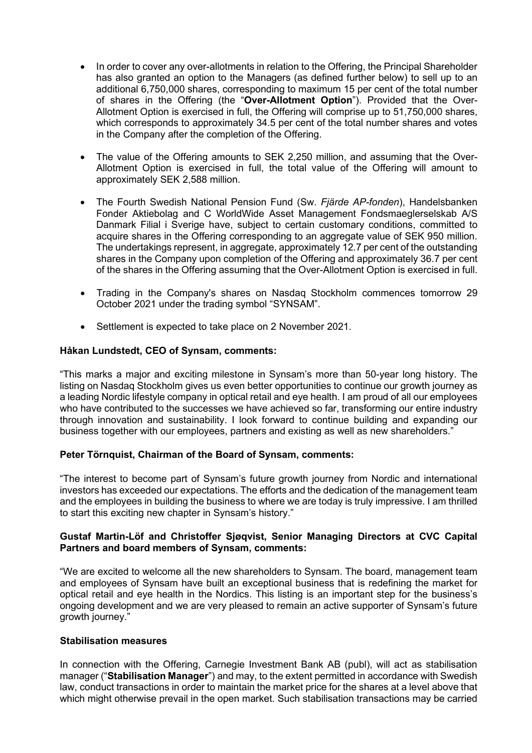- In order to cover any over-allotments in relation to the Offering, the Principal Shareholder has also granted an option to the Managers (as defined further below) to sell up to an additional 6,750,000 shares, corresponding to maximum 15 per cent of the total number of shares in the Offering (the "**Over-Allotment Option**"). Provided that the Over-Allotment Option is exercised in full, the Offering will comprise up to 51,750,000 shares, which corresponds to approximately 34.5 per cent of the total number shares and votes in the Company after the completion of the Offering.
- The value of the Offering amounts to SEK 2,250 million, and assuming that the Over-Allotment Option is exercised in full, the total value of the Offering will amount to approximately SEK 2,588 million.
- The Fourth Swedish National Pension Fund (Sw. *Fjärde AP-fonden*), Handelsbanken Fonder Aktiebolag and C WorldWide Asset Management Fondsmaeglerselskab A/S Danmark Filial i Sverige have, subject to certain customary conditions, committed to acquire shares in the Offering corresponding to an aggregate value of SEK 950 million. The undertakings represent, in aggregate, approximately 12.7 per cent of the outstanding shares in the Company upon completion of the Offering and approximately 36.7 per cent of the shares in the Offering assuming that the Over-Allotment Option is exercised in full.
- Trading in the Company's shares on Nasdaq Stockholm commences tomorrow 29 October 2021 under the trading symbol "SYNSAM".
- Settlement is expected to take place on 2 November 2021.

## **Håkan Lundstedt, CEO of Synsam, comments:**

"This marks a major and exciting milestone in Synsam's more than 50-year long history. The listing on Nasdaq Stockholm gives us even better opportunities to continue our growth journey as a leading Nordic lifestyle company in optical retail and eye health. I am proud of all our employees who have contributed to the successes we have achieved so far, transforming our entire industry through innovation and sustainability. I look forward to continue building and expanding our business together with our employees, partners and existing as well as new shareholders."

## **Peter Törnquist, Chairman of the Board of Synsam, comments:**

"The interest to become part of Synsam's future growth journey from Nordic and international investors has exceeded our expectations. The efforts and the dedication of the management team and the employees in building the business to where we are today is truly impressive. I am thrilled to start this exciting new chapter in Synsam's history."

## **Gustaf Martin-Löf and Christoffer Sjøqvist, Senior Managing Directors at CVC Capital Partners and board members of Synsam, comments:**

"We are excited to welcome all the new shareholders to Synsam. The board, management team and employees of Synsam have built an exceptional business that is redefining the market for optical retail and eye health in the Nordics. This listing is an important step for the business's ongoing development and we are very pleased to remain an active supporter of Synsam's future growth journey."

## **Stabilisation measures**

In connection with the Offering, Carnegie Investment Bank AB (publ), will act as stabilisation manager ("**Stabilisation Manager**") and may, to the extent permitted in accordance with Swedish law, conduct transactions in order to maintain the market price for the shares at a level above that which might otherwise prevail in the open market. Such stabilisation transactions may be carried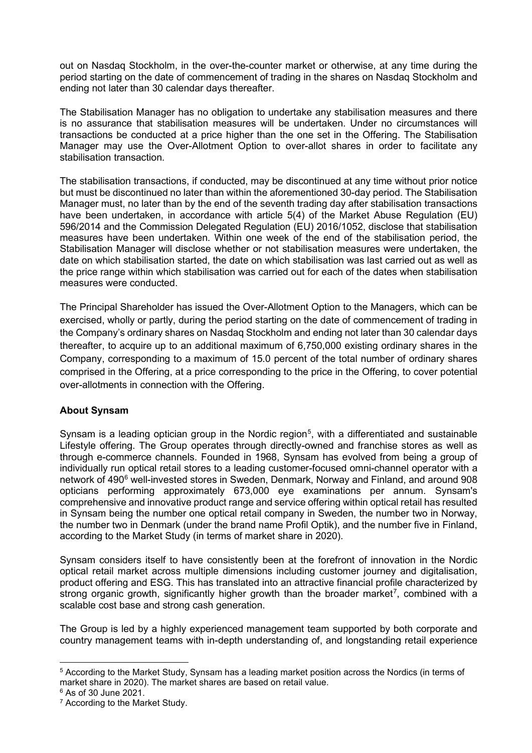out on Nasdaq Stockholm, in the over-the-counter market or otherwise, at any time during the period starting on the date of commencement of trading in the shares on Nasdaq Stockholm and ending not later than 30 calendar days thereafter.

The Stabilisation Manager has no obligation to undertake any stabilisation measures and there is no assurance that stabilisation measures will be undertaken. Under no circumstances will transactions be conducted at a price higher than the one set in the Offering. The Stabilisation Manager may use the Over-Allotment Option to over-allot shares in order to facilitate any stabilisation transaction.

The stabilisation transactions, if conducted, may be discontinued at any time without prior notice but must be discontinued no later than within the aforementioned 30-day period. The Stabilisation Manager must, no later than by the end of the seventh trading day after stabilisation transactions have been undertaken, in accordance with article 5(4) of the Market Abuse Regulation (EU) 596/2014 and the Commission Delegated Regulation (EU) 2016/1052, disclose that stabilisation measures have been undertaken. Within one week of the end of the stabilisation period, the Stabilisation Manager will disclose whether or not stabilisation measures were undertaken, the date on which stabilisation started, the date on which stabilisation was last carried out as well as the price range within which stabilisation was carried out for each of the dates when stabilisation measures were conducted.

The Principal Shareholder has issued the Over-Allotment Option to the Managers, which can be exercised, wholly or partly, during the period starting on the date of commencement of trading in the Company's ordinary shares on Nasdaq Stockholm and ending not later than 30 calendar days thereafter, to acquire up to an additional maximum of 6,750,000 existing ordinary shares in the Company, corresponding to a maximum of 15.0 percent of the total number of ordinary shares comprised in the Offering, at a price corresponding to the price in the Offering, to cover potential over-allotments in connection with the Offering.

# **About Synsam**

Synsam is a leading optician group in the Nordic region<sup>[5](#page-2-0)</sup>, with a differentiated and sustainable Lifestyle offering. The Group operates through directly-owned and franchise stores as well as through e-commerce channels. Founded in 1968, Synsam has evolved from being a group of individually run optical retail stores to a leading customer-focused omni-channel operator with a network of 490<sup>6</sup> well-invested stores in Sweden, Denmark, Norway and Finland, and around 908 opticians performing approximately 673,000 eye examinations per annum. Synsam's comprehensive and innovative product range and service offering within optical retail has resulted in Synsam being the number one optical retail company in Sweden, the number two in Norway, the number two in Denmark (under the brand name Profil Optik), and the number five in Finland, according to the Market Study (in terms of market share in 2020).

Synsam considers itself to have consistently been at the forefront of innovation in the Nordic optical retail market across multiple dimensions including customer journey and digitalisation, product offering and ESG. This has translated into an attractive financial profile characterized by strong organic growth, significantly higher growth than the broader market<sup>[7](#page-2-2)</sup>, combined with a scalable cost base and strong cash generation.

The Group is led by a highly experienced management team supported by both corporate and country management teams with in-depth understanding of, and longstanding retail experience

<span id="page-2-0"></span><sup>5</sup> According to the Market Study, Synsam has a leading market position across the Nordics (in terms of market share in 2020). The market shares are based on retail value.

<span id="page-2-1"></span><sup>6</sup> As of 30 June 2021.

<span id="page-2-2"></span><sup>7</sup> According to the Market Study.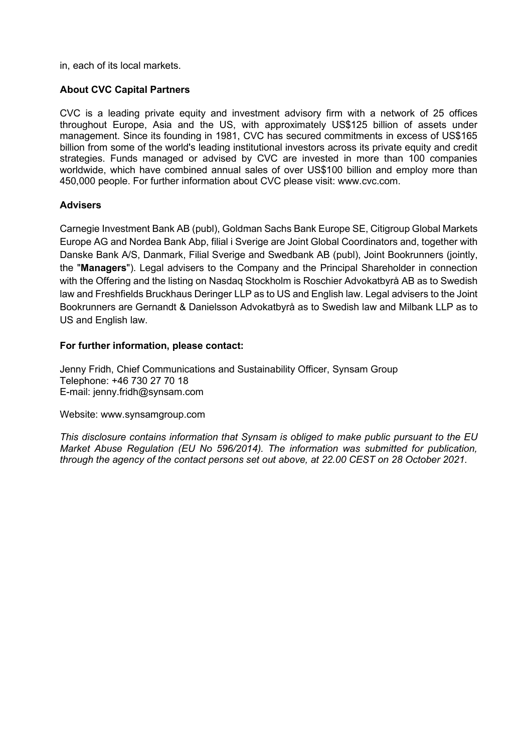in, each of its local markets.

## **About CVC Capital Partners**

CVC is a leading private equity and investment advisory firm with a network of 25 offices throughout Europe, Asia and the US, with approximately US\$125 billion of assets under management. Since its founding in 1981, CVC has secured commitments in excess of US\$165 billion from some of the world's leading institutional investors across its private equity and credit strategies. Funds managed or advised by CVC are invested in more than 100 companies worldwide, which have combined annual sales of over US\$100 billion and employ more than 450,000 people. For further information about CVC please visit: www.cvc.com.

## **Advisers**

Carnegie Investment Bank AB (publ), Goldman Sachs Bank Europe SE, Citigroup Global Markets Europe AG and Nordea Bank Abp, filial i Sverige are Joint Global Coordinators and, together with Danske Bank A/S, Danmark, Filial Sverige and Swedbank AB (publ), Joint Bookrunners (jointly, the "**Managers**"). Legal advisers to the Company and the Principal Shareholder in connection with the Offering and the listing on Nasdaq Stockholm is Roschier Advokatbyrå AB as to Swedish law and Freshfields Bruckhaus Deringer LLP as to US and English law. Legal advisers to the Joint Bookrunners are Gernandt & Danielsson Advokatbyrå as to Swedish law and Milbank LLP as to US and English law.

## **For further information, please contact:**

Jenny Fridh, Chief Communications and Sustainability Officer, Synsam Group Telephone: +46 730 27 70 18 E-mail: jenny.fridh@synsam.com

Website: [www.synsamgroup.com](http://www.synsamgroup.com/)

*This disclosure contains information that Synsam is obliged to make public pursuant to the EU Market Abuse Regulation (EU No 596/2014). The information was submitted for publication, through the agency of the contact persons set out above, at 22.00 CEST on 28 October 2021.*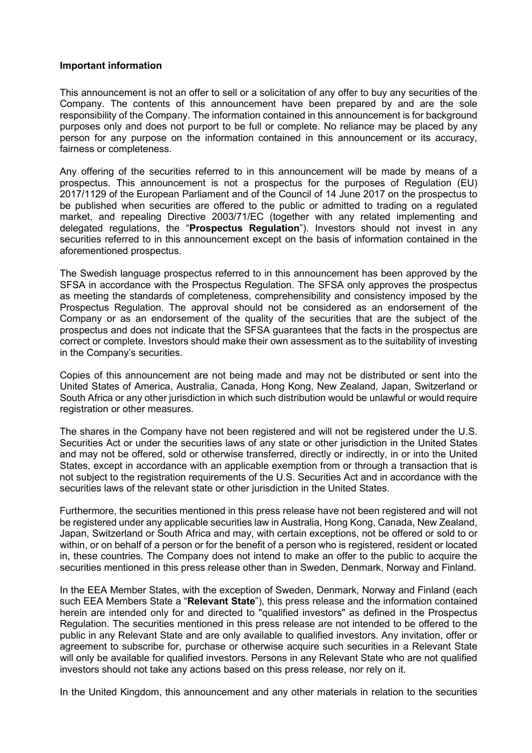#### **Important information**

This announcement is not an offer to sell or a solicitation of any offer to buy any securities of the Company. The contents of this announcement have been prepared by and are the sole responsibility of the Company. The information contained in this announcement is for background purposes only and does not purport to be full or complete. No reliance may be placed by any person for any purpose on the information contained in this announcement or its accuracy, fairness or completeness.

Any offering of the securities referred to in this announcement will be made by means of a prospectus. This announcement is not a prospectus for the purposes of Regulation (EU) 2017/1129 of the European Parliament and of the Council of 14 June 2017 on the prospectus to be published when securities are offered to the public or admitted to trading on a regulated market, and repealing Directive 2003/71/EC (together with any related implementing and delegated regulations, the "**Prospectus Regulation**"). Investors should not invest in any securities referred to in this announcement except on the basis of information contained in the aforementioned prospectus.

The Swedish language prospectus referred to in this announcement has been approved by the SFSA in accordance with the Prospectus Regulation. The SFSA only approves the prospectus as meeting the standards of completeness, comprehensibility and consistency imposed by the Prospectus Regulation. The approval should not be considered as an endorsement of the Company or as an endorsement of the quality of the securities that are the subject of the prospectus and does not indicate that the SFSA guarantees that the facts in the prospectus are correct or complete. Investors should make their own assessment as to the suitability of investing in the Company's securities.

Copies of this announcement are not being made and may not be distributed or sent into the United States of America, Australia, Canada, Hong Kong, New Zealand, Japan, Switzerland or South Africa or any other jurisdiction in which such distribution would be unlawful or would require registration or other measures.

The shares in the Company have not been registered and will not be registered under the U.S. Securities Act or under the securities laws of any state or other jurisdiction in the United States and may not be offered, sold or otherwise transferred, directly or indirectly, in or into the United States, except in accordance with an applicable exemption from or through a transaction that is not subject to the registration requirements of the U.S. Securities Act and in accordance with the securities laws of the relevant state or other jurisdiction in the United States.

Furthermore, the securities mentioned in this press release have not been registered and will not be registered under any applicable securities law in Australia, Hong Kong, Canada, New Zealand, Japan, Switzerland or South Africa and may, with certain exceptions, not be offered or sold to or within, or on behalf of a person or for the benefit of a person who is registered, resident or located in, these countries. The Company does not intend to make an offer to the public to acquire the securities mentioned in this press release other than in Sweden, Denmark, Norway and Finland.

In the EEA Member States, with the exception of Sweden, Denmark, Norway and Finland (each such EEA Members State a "**Relevant State**"), this press release and the information contained herein are intended only for and directed to "qualified investors" as defined in the Prospectus Regulation. The securities mentioned in this press release are not intended to be offered to the public in any Relevant State and are only available to qualified investors. Any invitation, offer or agreement to subscribe for, purchase or otherwise acquire such securities in a Relevant State will only be available for qualified investors. Persons in any Relevant State who are not qualified investors should not take any actions based on this press release, nor rely on it.

In the United Kingdom, this announcement and any other materials in relation to the securities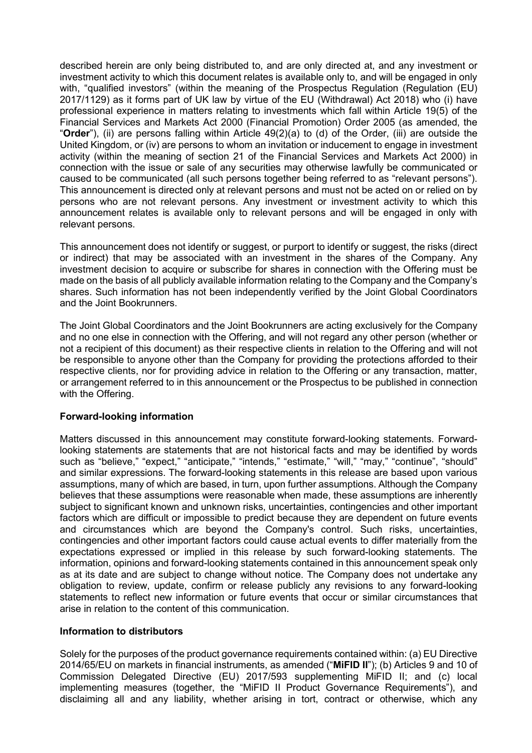described herein are only being distributed to, and are only directed at, and any investment or investment activity to which this document relates is available only to, and will be engaged in only with, "qualified investors" (within the meaning of the Prospectus Regulation (Regulation (EU) 2017/1129) as it forms part of UK law by virtue of the EU (Withdrawal) Act 2018) who (i) have professional experience in matters relating to investments which fall within Article 19(5) of the Financial Services and Markets Act 2000 (Financial Promotion) Order 2005 (as amended, the "**Order**"), (ii) are persons falling within Article 49(2)(a) to (d) of the Order, (iii) are outside the United Kingdom, or (iv) are persons to whom an invitation or inducement to engage in investment activity (within the meaning of section 21 of the Financial Services and Markets Act 2000) in connection with the issue or sale of any securities may otherwise lawfully be communicated or caused to be communicated (all such persons together being referred to as "relevant persons"). This announcement is directed only at relevant persons and must not be acted on or relied on by persons who are not relevant persons. Any investment or investment activity to which this announcement relates is available only to relevant persons and will be engaged in only with relevant persons.

This announcement does not identify or suggest, or purport to identify or suggest, the risks (direct or indirect) that may be associated with an investment in the shares of the Company. Any investment decision to acquire or subscribe for shares in connection with the Offering must be made on the basis of all publicly available information relating to the Company and the Company's shares. Such information has not been independently verified by the Joint Global Coordinators and the Joint Bookrunners.

The Joint Global Coordinators and the Joint Bookrunners are acting exclusively for the Company and no one else in connection with the Offering, and will not regard any other person (whether or not a recipient of this document) as their respective clients in relation to the Offering and will not be responsible to anyone other than the Company for providing the protections afforded to their respective clients, nor for providing advice in relation to the Offering or any transaction, matter, or arrangement referred to in this announcement or the Prospectus to be published in connection with the Offering.

## **Forward-looking information**

Matters discussed in this announcement may constitute forward-looking statements. Forwardlooking statements are statements that are not historical facts and may be identified by words such as "believe," "expect," "anticipate," "intends," "estimate," "will," "may," "continue", "should" and similar expressions. The forward-looking statements in this release are based upon various assumptions, many of which are based, in turn, upon further assumptions. Although the Company believes that these assumptions were reasonable when made, these assumptions are inherently subject to significant known and unknown risks, uncertainties, contingencies and other important factors which are difficult or impossible to predict because they are dependent on future events and circumstances which are beyond the Company's control. Such risks, uncertainties, contingencies and other important factors could cause actual events to differ materially from the expectations expressed or implied in this release by such forward-looking statements. The information, opinions and forward-looking statements contained in this announcement speak only as at its date and are subject to change without notice. The Company does not undertake any obligation to review, update, confirm or release publicly any revisions to any forward-looking statements to reflect new information or future events that occur or similar circumstances that arise in relation to the content of this communication.

#### **Information to distributors**

Solely for the purposes of the product governance requirements contained within: (a) EU Directive 2014/65/EU on markets in financial instruments, as amended ("**MiFID II**"); (b) Articles 9 and 10 of Commission Delegated Directive (EU) 2017/593 supplementing MiFID II; and (c) local implementing measures (together, the "MiFID II Product Governance Requirements"), and disclaiming all and any liability, whether arising in tort, contract or otherwise, which any